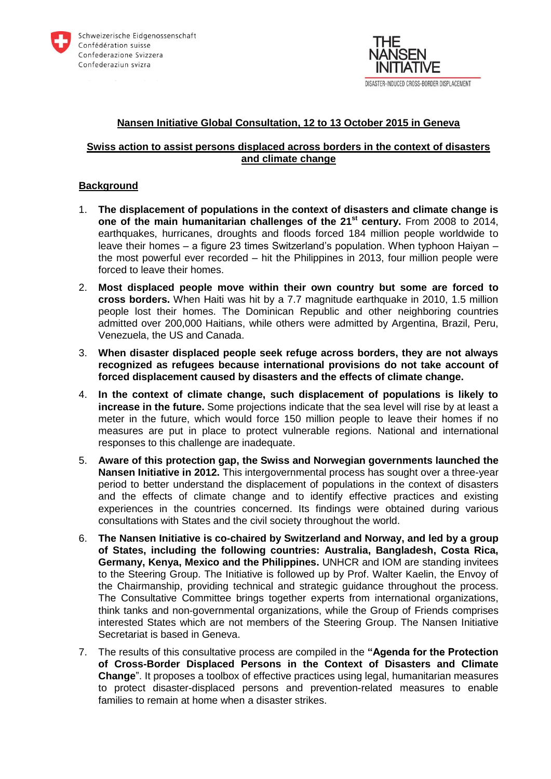



#### **Nansen Initiative Global Consultation, 12 to 13 October 2015 in Geneva**

#### **Swiss action to assist persons displaced across borders in the context of disasters and climate change**

## **Background**

- 1. **The displacement of populations in the context of disasters and climate change is one of the main humanitarian challenges of the 21st century.** From 2008 to 2014, earthquakes, hurricanes, droughts and floods forced 184 million people worldwide to leave their homes – a figure 23 times Switzerland's population. When typhoon Haiyan – the most powerful ever recorded – hit the Philippines in 2013, four million people were forced to leave their homes.
- 2. **Most displaced people move within their own country but some are forced to cross borders.** When Haiti was hit by a 7.7 magnitude earthquake in 2010, 1.5 million people lost their homes. The Dominican Republic and other neighboring countries admitted over 200,000 Haitians, while others were admitted by Argentina, Brazil, Peru, Venezuela, the US and Canada.
- 3. **When disaster displaced people seek refuge across borders, they are not always recognized as refugees because international provisions do not take account of forced displacement caused by disasters and the effects of climate change.**
- 4. **In the context of climate change, such displacement of populations is likely to increase in the future.** Some projections indicate that the sea level will rise by at least a meter in the future, which would force 150 million people to leave their homes if no measures are put in place to protect vulnerable regions. National and international responses to this challenge are inadequate.
- 5. **Aware of this protection gap, the Swiss and Norwegian governments launched the Nansen Initiative in 2012.** This intergovernmental process has sought over a three-year period to better understand the displacement of populations in the context of disasters and the effects of climate change and to identify effective practices and existing experiences in the countries concerned. Its findings were obtained during various consultations with States and the civil society throughout the world.
- 6. **The Nansen Initiative is co-chaired by Switzerland and Norway, and led by a group of States, including the following countries: Australia, Bangladesh, Costa Rica, Germany, Kenya, Mexico and the Philippines.** UNHCR and IOM are standing invitees to the Steering Group. The Initiative is followed up by Prof. Walter Kaelin, the Envoy of the Chairmanship, providing technical and strategic guidance throughout the process. The Consultative Committee brings together experts from international organizations, think tanks and non-governmental organizations, while the Group of Friends comprises interested States which are not members of the Steering Group. The Nansen Initiative Secretariat is based in Geneva.
- 7. The results of this consultative process are compiled in the **"Agenda for the Protection of Cross-Border Displaced Persons in the Context of Disasters and Climate Change**". It proposes a toolbox of effective practices using legal, humanitarian measures to protect disaster-displaced persons and prevention-related measures to enable families to remain at home when a disaster strikes.